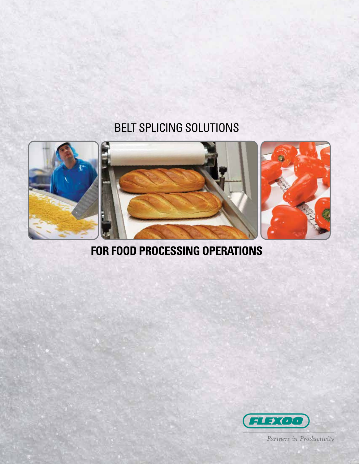### BELT SPLICING SOLUTIONS



### **FOR FOOD PROCESSING OPERATIONS**



Partners in Productivity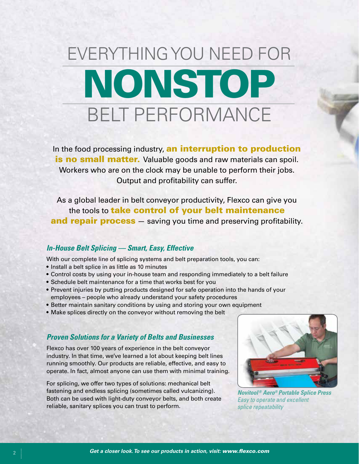# EVERYTHING YOU NEED FOR NONSTOP BELT PERFORMANCE

In the food processing industry, an interruption to production is no small matter. Valuable goods and raw materials can spoil. Workers who are on the clock may be unable to perform their jobs. Output and profitability can suffer.

As a global leader in belt conveyor productivity, Flexco can give you the tools to **take control of your belt maintenance** and repair process – saving you time and preserving profitability.

### *In-House Belt Splicing — Smart, Easy, Effective*

With our complete line of splicing systems and belt preparation tools, you can:

- Install a belt splice in as little as 10 minutes
- Control costs by using your in-house team and responding immediately to a belt failure
- Schedule belt maintenance for a time that works best for you
- Prevent injuries by putting products designed for safe operation into the hands of your employees – people who already understand your safety procedures
- Better maintain sanitary conditions by using and storing your own equipment
- Make splices directly on the conveyor without removing the belt

### *Proven Solutions for a Variety of Belts and Businesses*

Flexco has over 100 years of experience in the belt conveyor industry. In that time, we've learned a lot about keeping belt lines running smoothly. Our products are reliable, effective, and easy to operate. In fact, almost anyone can use them with minimal training.

For splicing, we offer two types of solutions: mechanical belt fastening and endless splicing (sometimes called vulcanizing). Both can be used with light-duty conveyor belts, and both create reliable, sanitary splices you can trust to perform.



*Novitool® Aero® Portable Splice Press Easy to operate and excellent splice repeatability*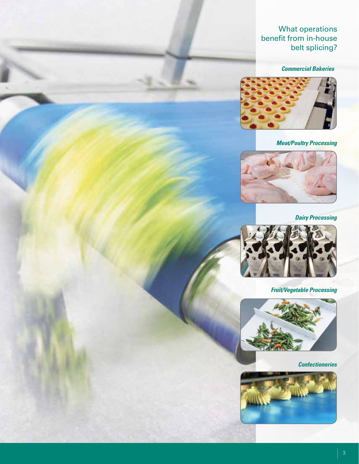### What operations benefit from in-house belt splicing?

#### *Commercial Bakeries*



*Meat/Poultry Processing*



*Dairy Processing*



*Fruit/Vegetable Processing*



*Confectioneries*

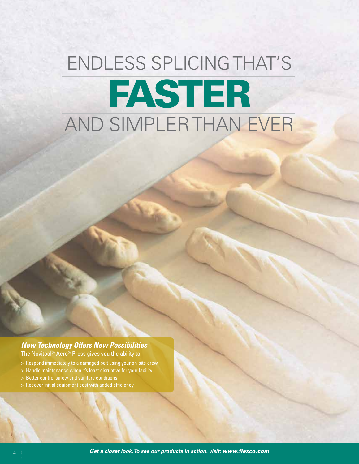# ENDLESS SPLICING THAT'S FASTER AND SIMPLER THAN EVER

### *New Technology Offers New Possibilities*

The Novitool<sup>®</sup> Aero<sup>®</sup> Press gives you the ability to:

- > Respond immediately to a damaged belt using your on-site crew
- > Handle maintenance when it's least disruptive for your facility
- > Better control safety and sanitary conditions
- > Recover initial equipment cost with added efficiency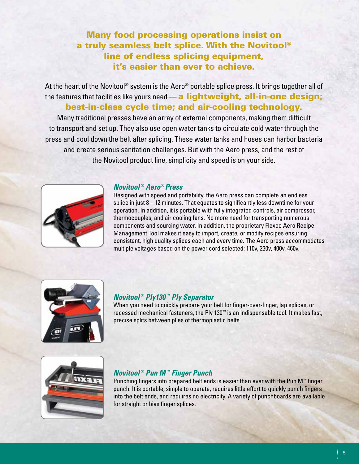### Many food processing operations insist on a truly seamless belt splice. With the Novitool® line of endless splicing equipment, it's easier than ever to achieve.

At the heart of the Novitool® system is the Aero® portable splice press. It brings together all of the features that facilities like yours need — a lightweight, all-in-one design: best-in-class cycle time; and air-cooling technology.

Many traditional presses have an array of external components, making them difficult to transport and set up. They also use open water tanks to circulate cold water through the press and cool down the belt after splicing. These water tanks and hoses can harbor bacteria and create serious sanitation challenges. But with the Aero press, and the rest of the Novitool product line, simplicity and speed is on your side.



#### *Novitool® Aero® Press*

Designed with speed and portability, the Aero press can complete an endless splice in just 8 – 12 minutes. That equates to significantly less downtime for your operation. In addition, it is portable with fully integrated controls, air compressor, thermocouples, and air cooling fans. No more need for transporting numerous components and sourcing water. In addition, the proprietary Flexco Aero Recipe Management Tool makes it easy to import, create, or modify recipes ensuring consistent, high quality splices each and every time. The Aero press accommodates multiple voltages based on the power cord selected: 110v, 230v, 400v, 460v.



### *Novitool® Ply130™ Ply Separator*

When you need to quickly prepare your belt for finger-over-finger, lap splices, or recessed mechanical fasteners, the Ply 130™ is an indispensable tool. It makes fast, precise splits between plies of thermoplastic belts.



### *Novitool® Pun M™ Finger Punch*

Punching fingers into prepared belt ends is easier than ever with the Pun M™ finger punch. It is portable, simple to operate, requires little effort to quickly punch fingers into the belt ends, and requires no electricity. A variety of punchboards are available for straight or bias finger splices.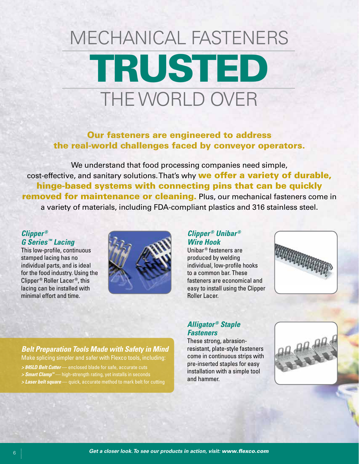# MECHANICAL FASTENERS TRUSTED THE WORLD OVER

Our fasteners are engineered to address the real-world challenges faced by conveyor operators.

We understand that food processing companies need simple, cost-effective, and sanitary solutions. That's why we offer a variety of durable. hinge-based systems with connecting pins that can be quickly **removed for maintenance or cleaning.** Plus, our mechanical fasteners come in a variety of materials, including FDA-compliant plastics and 316 stainless steel.

### *Clipper ® G Series ™ Lacing*

This low-profile, continuous stamped lacing has no individual parts, and is ideal for the food industry. Using the Clipper ® Roller Lacer ®, this lacing can be installed with minimal effort and time.



### *Clipper ® Unibar ® Wire Hook*

Unibar ® fasteners are produced by welding individual, low-profile hooks to a common bar. These fasteners are economical and easy to install using the Clipper Roller Lacer.



### *Alligator ® Staple Fasteners*

These strong, abrasionresistant, plate-style fasteners come in continuous strips with pre-inserted staples for easy installation with a simple tool and hammer.



### *Belt Preparation Tools Made with Safety in Mind*

Make splicing simpler and safer with Flexco tools, including:

- *> 845LD Belt Cutter* enclosed blade for safe, accurate cuts
- *> Smart Clamp™* high-strength rating, yet installs in seconds
- *> Laser belt square* quick, accurate method to mark belt for cutting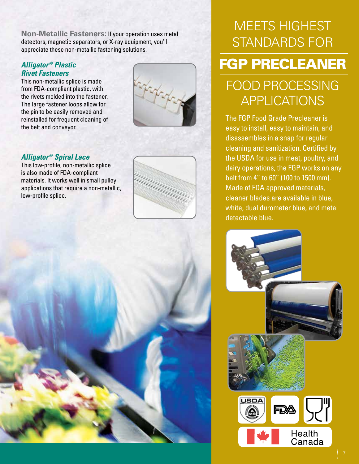**Non-Metallic Fasteners:** If your operation uses metal detectors, magnetic separators, or X-ray equipment, you'll appreciate these non-metallic fastening solutions.

### *Alligator ® Plastic Rivet Fasteners*

This non-metallic splice is made from FDA-compliant plastic, with the rivets molded into the fastener. The large fastener loops allow for the pin to be easily removed and reinstalled for frequent cleaning of the belt and conveyor.



### *Alligator ® Spiral Lace*

This low-profile, non-metallic splice is also made of FDA-compliant materials. It works well in small pulley applications that require a non-metallic, low-profile splice.



## MEETS HIGHEST STANDARDS FOR

### FGP PRECLEANER

## FOOD PROCESSING **APPLICATIONS**

The FGP Food Grade Precleaner is easy to install, easy to maintain, and disassembles in a snap for regular cleaning and sanitization. Certified by the USDA for use in meat, poultry, and dairy operations, the FGP works on any belt from 4" to 60" (100 to 1500 mm). Made of FDA approved materials, cleaner blades are available in blue, white, dual durometer blue, and metal detectable blue.